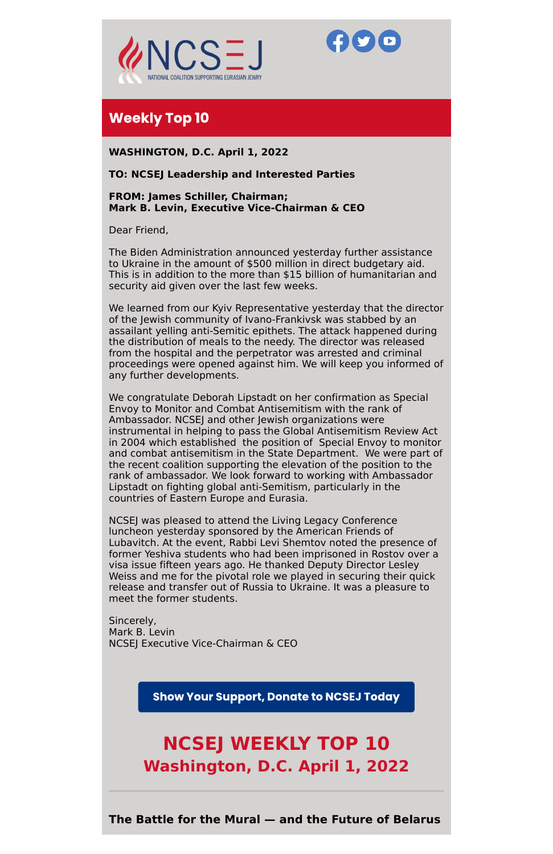



# **Weekly Top 10**

**WASHINGTON, D.C. April 1, 2022**

# **TO: NCSEJ Leadership and Interested Parties**

**FROM: James Schiller, Chairman; Mark B. Levin, Executive Vice-Chairman & CEO**

Dear Friend,

The Biden Administration announced yesterday further assistance to Ukraine in the amount of \$500 million in direct budgetary aid. This is in addition to the more than \$15 billion of humanitarian and security aid given over the last few weeks.

We learned from our Kyiv Representative yesterday that the director of the Jewish community of Ivano-Frankivsk was stabbed by an assailant yelling anti-Semitic epithets. The attack happened during the distribution of meals to the needy. The director was released from the hospital and the perpetrator was arrested and criminal proceedings were opened against him. We will keep you informed of any further developments.

We congratulate Deborah Lipstadt on her confirmation as Special Envoy to Monitor and Combat Antisemitism with the rank of Ambassador. NCSEJ and other Jewish organizations were instrumental in helping to pass the Global Antisemitism Review Act in 2004 which established the position of Special Envoy to monitor and combat antisemitism in the State Department. We were part of the recent coalition supporting the elevation of the position to the rank of ambassador. We look forward to working with Ambassador Lipstadt on fighting global anti-Semitism, particularly in the countries of Eastern Europe and Eurasia.

NCSEJ was pleased to attend the Living Legacy Conference luncheon yesterday sponsored by the American Friends of Lubavitch. At the event, Rabbi Levi Shemtov noted the presence of former Yeshiva students who had been imprisoned in Rostov over a visa issue fifteen years ago. He thanked Deputy Director Lesley Weiss and me for the pivotal role we played in securing their quick release and transfer out of Russia to Ukraine. It was a pleasure to meet the former students.

Sincerely,

Mark B. Levin NCSEJ Executive Vice-Chairman & CEO

**Show Your Support, Donate to NCSEJ Today** 

# **NCSEJ WEEKLY TOP 10 Washington, D.C. April 1, 2022**

**The Battle for the Mural — and the Future of Belarus**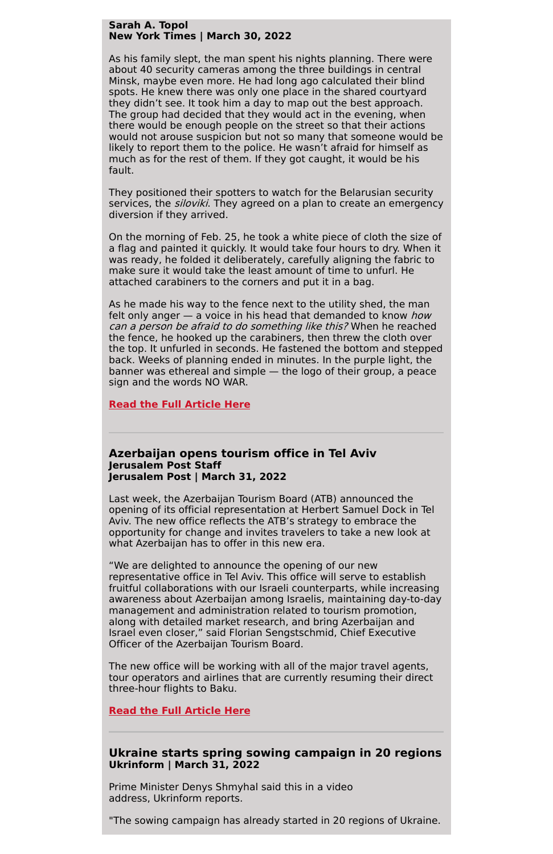#### **Sarah A. Topol New York Times | March 30, 2022**

As his family slept, the man spent his nights planning. There were about 40 security cameras among the three buildings in central Minsk, maybe even more. He had long ago calculated their blind spots. He knew there was only one place in the shared courtyard they didn't see. It took him a day to map out the best approach. The group had decided that they would act in the evening, when there would be enough people on the street so that their actions would not arouse suspicion but not so many that someone would be likely to report them to the police. He wasn't afraid for himself as much as for the rest of them. If they got caught, it would be his fault.

They positioned their spotters to watch for the Belarusian security services, the *siloviki*. They agreed on a plan to create an emergency diversion if they arrived.

On the morning of Feb. 25, he took a white piece of cloth the size of a flag and painted it quickly. It would take four hours to dry. When it was ready, he folded it deliberately, carefully aligning the fabric to make sure it would take the least amount of time to unfurl. He attached carabiners to the corners and put it in a bag.

As he made his way to the fence next to the utility shed, the man felt only anger — a voice in his head that demanded to know *how* can <sup>a</sup> person be afraid to do something like this? When he reached the fence, he hooked up the carabiners, then threw the cloth over the top. It unfurled in seconds. He fastened the bottom and stepped back. Weeks of planning ended in minutes. In the purple light, the banner was ethereal and simple — the logo of their group, a peace sign and the words NO WAR.

**Read the Full [Article](https://www.nytimes.com/2022/03/30/magazine/belarus-mural.html) Here**

#### **Azerbaijan opens tourism office in Tel Aviv Jerusalem Post Staff Jerusalem Post | March 31, 2022**

Last week, the Azerbaijan Tourism Board (ATB) announced the opening of its official representation at Herbert Samuel Dock in Tel Aviv. The new office reflects the ATB's strategy to embrace the opportunity for change and invites travelers to take a new look at what Azerbaijan has to offer in this new era.

"We are delighted to announce the opening of our new representative office in Tel Aviv. This office will serve to establish fruitful collaborations with our Israeli counterparts, while increasing awareness about Azerbaijan among Israelis, maintaining day-to-day management and administration related to tourism promotion, along with detailed market research, and bring Azerbaijan and Israel even closer," said Florian Sengstschmid, Chief Executive Officer of the Azerbaijan Tourism Board.

The new office will be working with all of the major travel agents, tour operators and airlines that are currently resuming their direct three-hour flights to Baku.

**Read the Full [Article](https://www.jpost.com/business-and-innovation/all-news/article-702891) Here**

# **Ukraine starts spring sowing campaign in 20 regions Ukrinform | March 31, 2022**

Prime Minister Denys Shmyhal said this in a video address, Ukrinform reports.

"The sowing campaign has already started in 20 regions of Ukraine.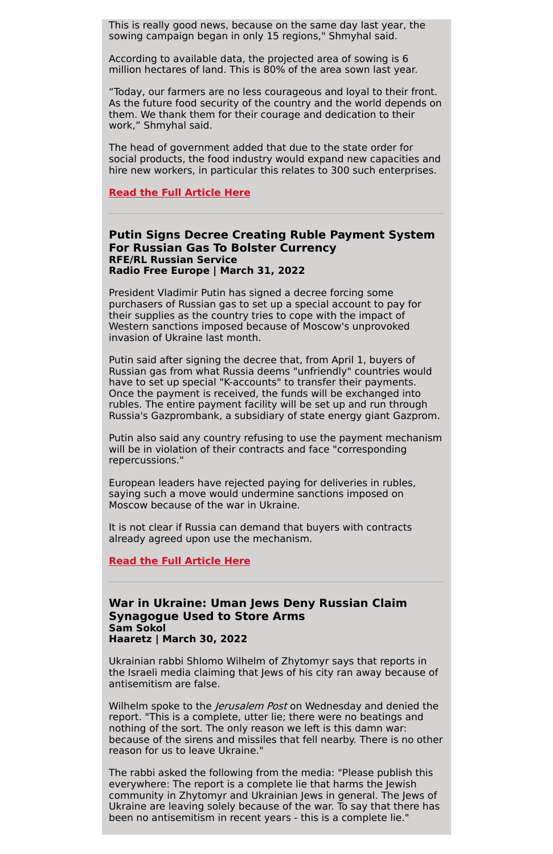This is really good news, because on the same day last year, the sowing campaign began in only 15 regions," Shmyhal said.

According to available data, the projected area of sowing is 6 million hectares of land. This is 80% of the area sown last year.

"Today, our farmers are no less courageous and loyal to their front. As the future food security of the country and the world depends on them. We thank them for their courage and dedication to their work," Shmyhal said.

The head of government added that due to the state order for social products, the food industry would expand new capacities and hire new workers, in particular this relates to 300 such enterprises.

**Read the Full [Article](https://www.ukrinform.net/rubric-economy/3444838-ukraine-starts-spring-sowing-campaign-in-20-regions.html) Here**

### **Putin Signs Decree Creating Ruble Payment System For Russian Gas To Bolster Currency RFE/RL Russian Service Radio Free Europe | March 31, 2022**

President Vladimir Putin has signed a decree forcing some purchasers of Russian gas to set up a special account to pay for their supplies as the country tries to cope with the impact of Western sanctions imposed because of Moscow's unprovoked invasion of Ukraine last month.

Wilhelm spoke to the *Jerusalem Post* on Wednesday and denied the report. "This is a complete, utter lie; there were no beatings and nothing of the sort. The only reason we left is this damn war: because of the sirens and missiles that fell nearby. There is no other reason for us to leave Ukraine."

Putin said after signing the decree that, from April 1, buyers of Russian gas from what Russia deems "unfriendly" countries would have to set up special "K-accounts" to transfer their payments. Once the payment is received, the funds will be exchanged into rubles. The entire payment facility will be set up and run through Russia's Gazprombank, a subsidiary of state energy giant Gazprom.

Putin also said any country refusing to use the payment mechanism will be in violation of their contracts and face "corresponding repercussions."

European leaders have rejected paying for deliveries in rubles, saying such a move would undermine sanctions imposed on Moscow because of the war in Ukraine.

It is not clear if Russia can demand that buyers with contracts already agreed upon use the mechanism.

**Read the Full [Article](https://www.rferl.org/a/russia-putin-signs-ruble-payment-gas/31779935.html) Here**

## **War in Ukraine: Uman Jews Deny Russian Claim Synagogue Used to Store Arms Sam Sokol Haaretz | March 30, 2022**

Ukrainian rabbi Shlomo Wilhelm of Zhytomyr says that reports in the Israeli media claiming that Jews of his city ran away because of antisemitism are false.

The rabbi asked the following from the media: "Please publish this everywhere: The report is a complete lie that harms the Jewish community in Zhytomyr and Ukrainian Jews in general. The Jews of Ukraine are leaving solely because of the war. To say that there has been no antisemitism in recent years - this is a complete lie."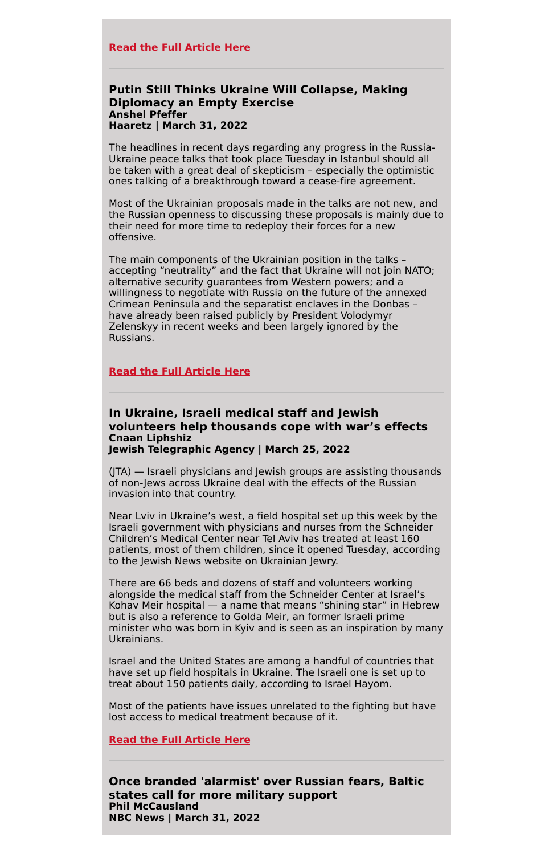#### **Read the Full [Article](https://d1a8dioxuajlzs.cloudfront.net/accounts/10513/original/War%2520in%2520Ukraine_%2520Uman%2520Jews%2520deny%2520Russian%2520claim%2520synagogue%2520used%2520to%2520store%2520arms%2520-%2520Europe%2520-%2520Haaretz.com.pdf?1648756033) Here**

# **Putin Still Thinks Ukraine Will Collapse, Making Diplomacy an Empty Exercise Anshel Pfeffer Haaretz | March 31, 2022**

The headlines in recent days regarding any progress in the Russia-Ukraine peace talks that took place Tuesday in Istanbul should all be taken with a great deal of skepticism – especially the optimistic ones talking of a breakthrough toward a cease-fire agreement.

Most of the Ukrainian proposals made in the talks are not new, and the Russian openness to discussing these proposals is mainly due to their need for more time to redeploy their forces for a new offensive.

The main components of the Ukrainian position in the talks – accepting "neutrality" and the fact that Ukraine will not join NATO; alternative security guarantees from Western powers; and a willingness to negotiate with Russia on the future of the annexed Crimean Peninsula and the separatist enclaves in the Donbas – have already been raised publicly by President Volodymyr Zelenskyy in recent weeks and been largely ignored by the Russians.

## **Read the Full [Article](https://d1a8dioxuajlzs.cloudfront.net/accounts/10513/original/Putin%2520still%2520thinks%2520Ukraine%2520will%2520collapse%252C%2520making%2520diplomacy%2520an%2520empty%2520exercise%2520-%2520Europe%2520-%2520Haaretz.com.pdf?1648756288) Here**

#### **In Ukraine, Israeli medical staff and Jewish volunteers help thousands cope with war's effects Cnaan Liphshiz Jewish Telegraphic Agency | March 25, 2022**

(JTA) — Israeli physicians and Jewish groups are assisting thousands of non-Jews across Ukraine deal with the effects of the Russian invasion into that country.

Near Lviv in Ukraine's west, a field hospital set up this week by the Israeli government with physicians and nurses from the Schneider Children's Medical Center near Tel Aviv has treated at least 160 patients, most of them children, since it opened Tuesday, according to the Jewish News website on Ukrainian Jewry.

There are 66 beds and dozens of staff and volunteers working alongside the medical staff from the Schneider Center at Israel's Kohav Meir hospital — a name that means "shining star" in Hebrew but is also a reference to Golda Meir, an former Israeli prime minister who was born in Kyiv and is seen as an inspiration by many Ukrainians.

Israel and the United States are among a handful of countries that have set up field hospitals in Ukraine. The Israeli one is set up to treat about 150 patients daily, according to Israel Hayom.

Most of the patients have issues unrelated to the fighting but have lost access to medical treatment because of it.

**Read the Full [Article](https://www.jta.org/2022/03/25/global/in-ukraine-israeli-medical-staff-and-jewish-volunteers-help-thousands-cope-with-wars-effects) Here**

**Once branded 'alarmist' over Russian fears, Baltic states call for more military support Phil McCausland NBC News | March 31, 2022**